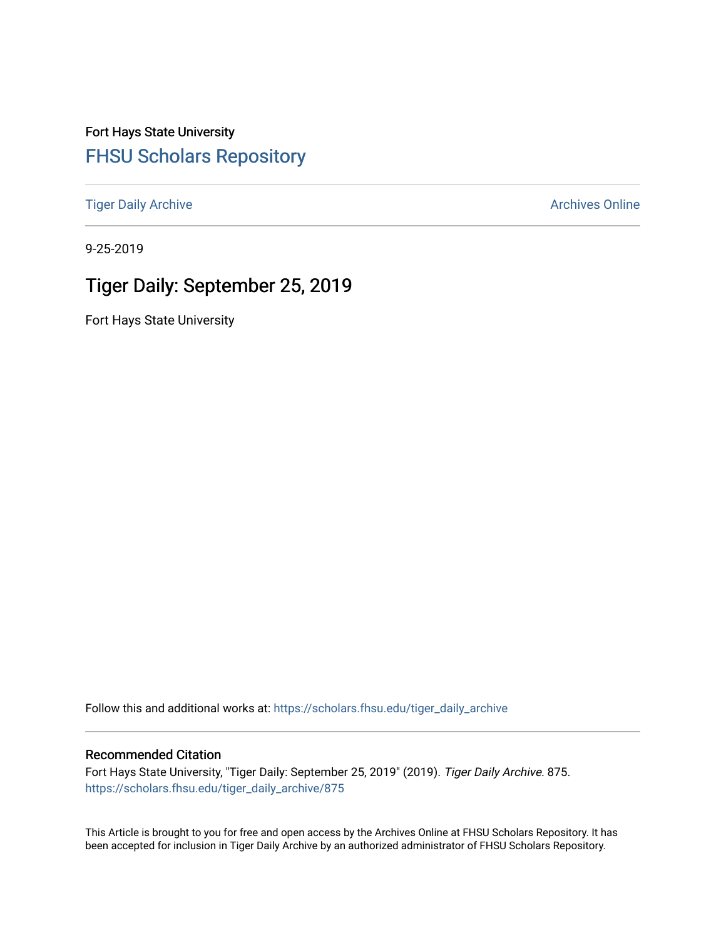Fort Hays State University [FHSU Scholars Repository](https://scholars.fhsu.edu/) 

[Tiger Daily Archive](https://scholars.fhsu.edu/tiger_daily_archive) **Archives** Online Archives Online

9-25-2019

# Tiger Daily: September 25, 2019

Fort Hays State University

Follow this and additional works at: [https://scholars.fhsu.edu/tiger\\_daily\\_archive](https://scholars.fhsu.edu/tiger_daily_archive?utm_source=scholars.fhsu.edu%2Ftiger_daily_archive%2F875&utm_medium=PDF&utm_campaign=PDFCoverPages)

#### Recommended Citation

Fort Hays State University, "Tiger Daily: September 25, 2019" (2019). Tiger Daily Archive. 875. [https://scholars.fhsu.edu/tiger\\_daily\\_archive/875](https://scholars.fhsu.edu/tiger_daily_archive/875?utm_source=scholars.fhsu.edu%2Ftiger_daily_archive%2F875&utm_medium=PDF&utm_campaign=PDFCoverPages)

This Article is brought to you for free and open access by the Archives Online at FHSU Scholars Repository. It has been accepted for inclusion in Tiger Daily Archive by an authorized administrator of FHSU Scholars Repository.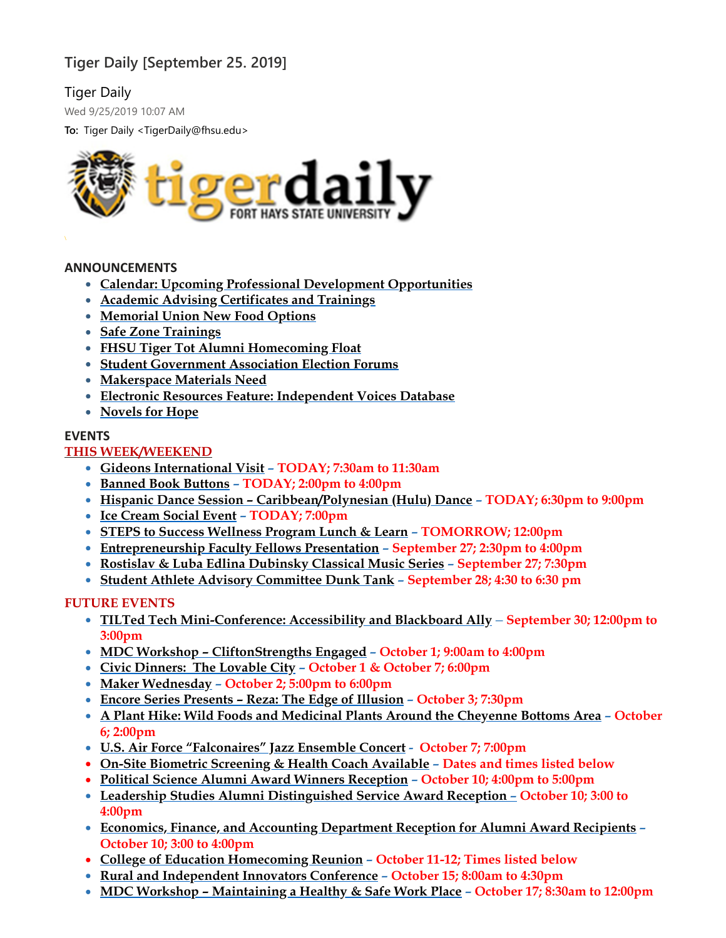## **Tiger Daily [September 25. 2019]**

## Tiger Daily

Wed 9/25/2019 10:07 AM

**To:** Tiger Daily <TigerDaily@fhsu.edu>



#### **ANNOUNCEMENTS**

- **Calendar: Upcoming Professional Development [Opportunities](#page-2-0)**
- **Academic Advising [Certificates](#page-2-1) and Trainings**
- **[Memorial](#page-3-0) Union New Food Options**
- **Safe Zone [Trainings](#page-3-1)**
- **FHSU Tiger Tot Alumni [Homecoming](#page-3-2) Float**
- **Student [Government](#page-4-0) Association Election Forums**
- **[Makerspace](#page-4-1) Materials Need**
- **Electronic Resources Feature: [Independent](#page-4-2) Voices Database**
- **[Novels](#page-4-3) for Hope**

#### **EVENTS**

## **THIS WEEK/WEEKEND**

- **Gideons [International](#page-4-4) Visit – TODAY; 7:30am to 11:30am**
- **Banned Book [Buttons](#page-5-0) – TODAY; 2:00pm to 4:00pm**
- **Hispanic Dance Session – [Caribbean/Polynesian](#page-5-1) (Hulu) Dance – TODAY; 6:30pm to 9:00pm**
- **Ice [Cream](#page-5-2) Social Event – TODAY; 7:00pm**
- **STEPS to Success [Wellness](#page-5-3) Program Lunch & Learn – TOMORROW; 12:00pm**
- **[Entrepreneurship](#page-6-0) Faculty Fellows Presentation – September 27; 2:30pm to 4:00pm**
- **Rostislav & Luba Edlina [Dubinsky](#page-6-1) Classical Music Series – September 27; 7:30pm**
- **Student Athlete Advisory [Committee](#page-7-0) Dunk Tank – September 28; 4:30 to 6:30 pm**

## **FUTURE EVENTS**

- **TILTed Tech [Mini-Conference:](#page-7-1) Accessibility and Blackboard Ally September 30; 12:00pm to 3:00pm**
- **MDC Workshop – [CliftonStrengths](#page-8-0) Engaged – October 1; 9:00am to 4:00pm**
- **Civic [Dinners:](#page-8-1) The Lovable City – October 1 & October 7; 6:00pm**
- **Maker [Wednesday](#page-8-2) – October 2; 5:00pm to 6:00pm**
- **Encore Series [Presents](#page-8-3) – Reza: The Edge of Illusion – October 3; 7:30pm**
- **A Plant Hike: Wild Foods and [Medicinal](#page-9-0) Plants Around the Cheyenne Bottoms Area – October 6; 2:00pm**
- **U.S. Air Force ["Falconaires"](#page-9-1) Jazz Ensemble Concert - October 7; 7:00pm**
- **On-Site Biometric [Screening](#page-10-0) & Health Coach Available – Dates and times listed below**
- **Political Science Alumni Award Winners [Reception](#page-11-0) – October 10; 4:00pm to 5:00pm**
- **Leadership Studies Alumni [Distinguished](#page-11-1) Service Award Reception – October 10; 3:00 to 4:00pm**
- **Economics, Finance, and Accounting [Department](#page-11-2) Reception for Alumni Award Recipients – October 10; 3:00 to 4:00pm**
- **College of Education [Homecoming](#page-12-0) Reunion – October 11-12; Times listed below**
- **Rural and [Independent](#page-9-2) Innovators Conference – October 15; 8:00am to 4:30pm**
- **MDC Workshop – [Maintaining](#page-12-1) a Healthy & Safe Work Place – October 17; 8:30am to 12:00pm**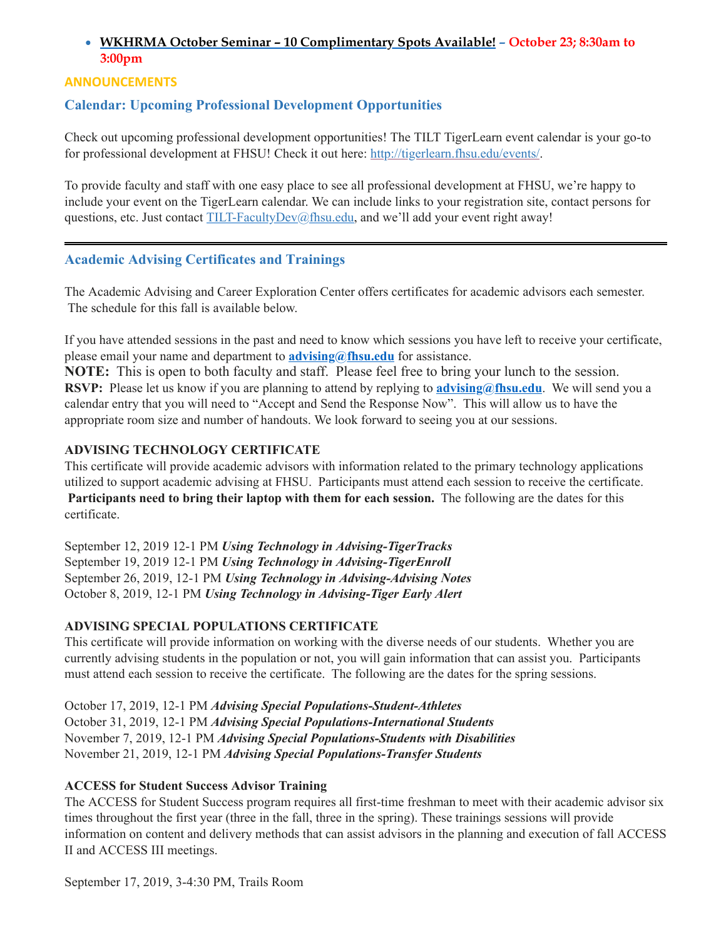## <span id="page-2-0"></span>**WKHRMA October Seminar – 10 [Complimentary](#page-10-1) Spots Available! – October 23; 8:30am to 3:00pm**

## **ANNOUNCEMENTS**

## **Calendar: Upcoming Professional Development Opportunities**

Check out upcoming professional development opportunities! The TILT TigerLearn event calendar is your go-to for professional development at FHSU! Check it out here: [http://tigerlearn.fhsu.edu/events/.](http://tigerlearn.fhsu.edu/events/)

To provide faculty and staff with one easy place to see all professional development at FHSU, we're happy to include your event on the TigerLearn calendar. We can include links to your registration site, contact persons for questions, etc. Just contact [TILT-FacultyDev@fhsu.edu,](mailto:TILT-FacultyDev@fhsu.edu) and we'll add your event right away!

## <span id="page-2-1"></span>**Academic Advising Certificates and Trainings**

The Academic Advising and Career Exploration Center offers certificates for academic advisors each semester. The schedule for this fall is available below.

If you have attended sessions in the past and need to know which sessions you have left to receive your certificate, please email your name and department to **[advising@fhsu.edu](mailto:advising@fhsu.edu)** for assistance.

**NOTE:** This is open to both faculty and staff. Please feel free to bring your lunch to the session. **RSVP:** Please let us know if you are planning to attend by replying to **[advising@fhsu.edu](mailto:advising@fhsu.edu)**. We will send you a calendar entry that you will need to "Accept and Send the Response Now". This will allow us to have the appropriate room size and number of handouts. We look forward to seeing you at our sessions.

#### **ADVISING TECHNOLOGY CERTIFICATE**

This certificate will provide academic advisors with information related to the primary technology applications utilized to support academic advising at FHSU. Participants must attend each session to receive the certificate. **Participants need to bring their laptop with them for each session.** The following are the dates for this certificate.

September 12, 2019 12-1 PM *Using Technology in Advising-TigerTracks* September 19, 2019 12-1 PM *Using Technology in Advising-TigerEnroll* September 26, 2019, 12-1 PM *Using Technology in Advising-Advising Notes* October 8, 2019, 12-1 PM *Using Technology in Advising-Tiger Early Alert*

## **ADVISING SPECIAL POPULATIONS CERTIFICATE**

This certificate will provide information on working with the diverse needs of our students. Whether you are currently advising students in the population or not, you will gain information that can assist you. Participants must attend each session to receive the certificate. The following are the dates for the spring sessions.

October 17, 2019, 12-1 PM *Advising Special Populations-Student-Athletes* October 31, 2019, 12-1 PM *Advising Special Populations-International Students* November 7, 2019, 12-1 PM *Advising Special Populations-Students with Disabilities* November 21, 2019, 12-1 PM *Advising Special Populations-Transfer Students*

#### **ACCESS for Student Success Advisor Training**

The ACCESS for Student Success program requires all first-time freshman to meet with their academic advisor six times throughout the first year (three in the fall, three in the spring). These trainings sessions will provide information on content and delivery methods that can assist advisors in the planning and execution of fall ACCESS II and ACCESS III meetings.

September 17, 2019, 3-4:30 PM, Trails Room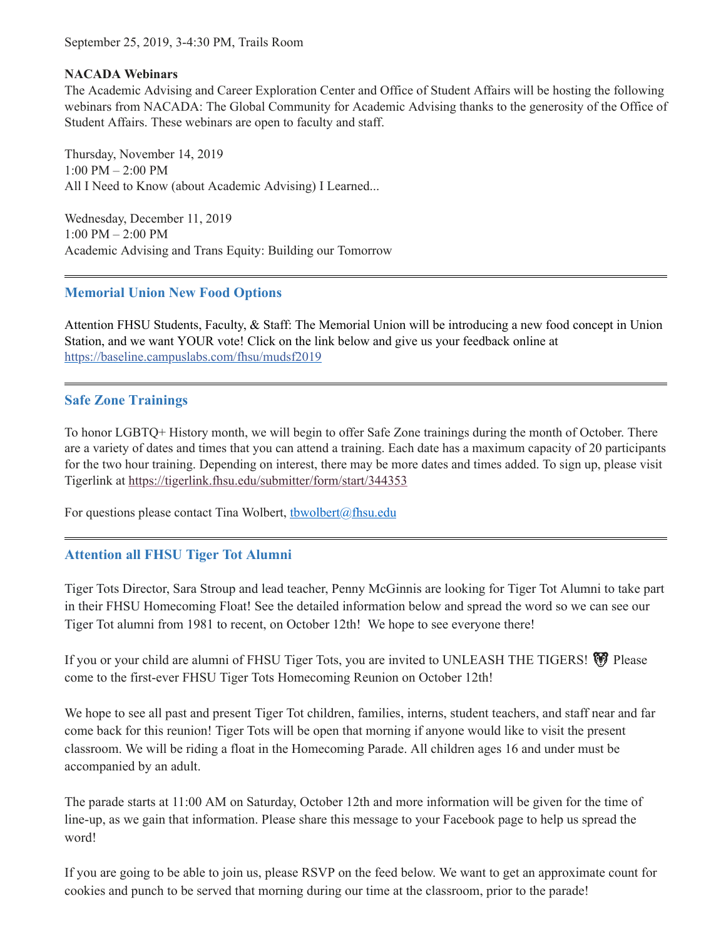September 25, 2019, 3-4:30 PM, Trails Room

#### **NACADA Webinars**

The Academic Advising and Career Exploration Center and Office of Student Affairs will be hosting the following webinars from NACADA: The Global Community for Academic Advising thanks to the generosity of the Office of Student Affairs. These webinars are open to faculty and staff.

Thursday, November 14, 2019 1:00 PM – 2:00 PM All I Need to Know (about Academic Advising) I Learned...

Wednesday, December 11, 2019 1:00 PM – 2:00 PM Academic Advising and Trans Equity: Building our Tomorrow

## <span id="page-3-0"></span>**Memorial Union New Food Options**

Attention FHSU Students, Faculty, & Staff: The Memorial Union will be introducing a new food concept in Union Station, and we want YOUR vote! Click on the link below and give us your feedback online at [https://baseline.campuslabs.com/fhsu/mudsf2019](https://baseline.campuslabs.com/fhsu/mudsf2019?fbclid=IwAR3O8zzAn7DkBeKqLu3iaV89j9ZSiFTkA9kTScfRPj9T1CWy5ScyAvUwaG0)

## <span id="page-3-1"></span>**Safe Zone Trainings**

To honor LGBTQ+ History month, we will begin to offer Safe Zone trainings during the month of October. There are a variety of dates and times that you can attend a training. Each date has a maximum capacity of 20 participants for the two hour training. Depending on interest, there may be more dates and times added. To sign up, please visit Tigerlink at <https://tigerlink.fhsu.edu/submitter/form/start/344353>

For questions please contact Tina Wolbert, thwolbert@fhsu.edu

## <span id="page-3-2"></span>**Attention all FHSU Tiger Tot Alumni**

Tiger Tots Director, Sara Stroup and lead teacher, Penny McGinnis are looking for Tiger Tot Alumni to take part in their FHSU Homecoming Float! See the detailed information below and spread the word so we can see our Tiger Tot alumni from 1981 to recent, on October 12th! We hope to see everyone there!

If you or your child are alumni of FHSU Tiger Tots, you are invited to UNLEASH THE TIGERS!  $\bigcirc$  Please come to the first-ever FHSU Tiger Tots Homecoming Reunion on October 12th!

We hope to see all past and present Tiger Tot children, families, interns, student teachers, and staff near and far come back for this reunion! Tiger Tots will be open that morning if anyone would like to visit the present classroom. We will be riding a float in the Homecoming Parade. All children ages 16 and under must be accompanied by an adult.

The parade starts at 11:00 AM on Saturday, October 12th and more information will be given for the time of line-up, as we gain that information. Please share this message to your Facebook page to help us spread the word!

If you are going to be able to join us, please RSVP on the feed below. We want to get an approximate count for cookies and punch to be served that morning during our time at the classroom, prior to the parade!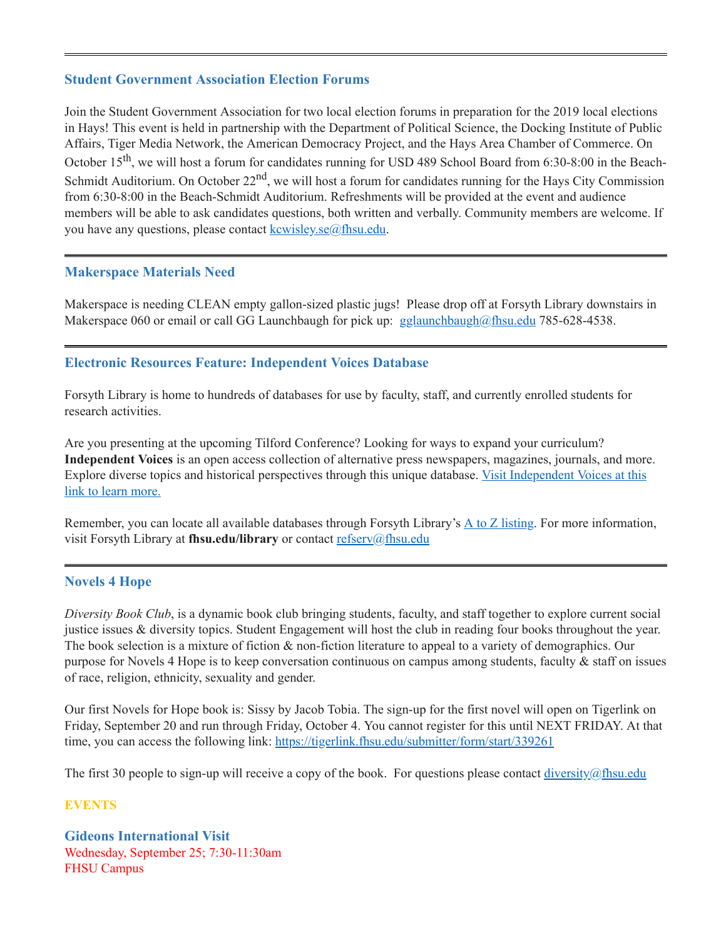#### <span id="page-4-0"></span>**Student Government Association Election Forums**

Join the Student Government Association for two local election forums in preparation for the 2019 local elections in Hays! This event is held in partnership with the Department of Political Science, the Docking Institute of Public Affairs, Tiger Media Network, the American Democracy Project, and the Hays Area Chamber of Commerce. On October 15<sup>th</sup>, we will host a forum for candidates running for USD 489 School Board from 6:30-8:00 in the Beach-Schmidt Auditorium. On October 22<sup>nd</sup>, we will host a forum for candidates running for the Hays City Commission from 6:30-8:00 in the Beach-Schmidt Auditorium. Refreshments will be provided at the event and audience members will be able to ask candidates questions, both written and verbally. Community members are welcome. If you have any questions, please contact [kcwisley.se@fhsu.edu](mailto:kcwisley.se@fhsu.edu).

#### <span id="page-4-1"></span>**Makerspace Materials Need**

Makerspace is needing CLEAN empty gallon-sized plastic jugs! Please drop off at Forsyth Library downstairs in Makerspace 060 or email or call GG Launchbaugh for pick up:  $g$ glaunchbaugh@fhsu.edu 785-628-4538.

#### <span id="page-4-2"></span>**Electronic Resources Feature: Independent Voices Database**

Forsyth Library is home to hundreds of databases for use by faculty, staff, and currently enrolled students for research activities.

Are you presenting at the upcoming Tilford Conference? Looking for ways to expand your curriculum? **Independent Voices** is an open access collection of alternative press newspapers, magazines, journals, and more. Explore diverse topics and historical [perspectives](https://voices.revealdigital.com/) through this unique database. Visit Independent Voices at this link to learn more.

Remember, you can locate all available databases through Forsyth Library's  $\underline{A}$  to  $\underline{Z}$  [listing.](https://fhsuguides.fhsu.edu/az.php) For more information, visit Forsyth Library at fhsu.edu/library or contact [refserv@fhsu.edu](mailto:refserv@fhsu.edu)

#### <span id="page-4-3"></span>**Novels 4 Hope**

*Diversity Book Club*, is a dynamic book club bringing students, faculty, and staff together to explore current social justice issues & diversity topics. Student Engagement will host the club in reading four books throughout the year. The book selection is a mixture of fiction & non-fiction literature to appeal to a variety of demographics. Our purpose for Novels 4 Hope is to keep conversation continuous on campus among students, faculty & staff on issues of race, religion, ethnicity, sexuality and gender.

Our first Novels for Hope book is: Sissy by Jacob Tobia. The sign-up for the first novel will open on Tigerlink on Friday, September 20 and run through Friday, October 4. You cannot register for this until NEXT FRIDAY. At that time, you can access the following link: <https://tigerlink.fhsu.edu/submitter/form/start/339261>

The first 30 people to sign-up will receive a copy of the book. For questions please contact diversity @fhsu.edu

#### **EVENTS**

<span id="page-4-4"></span>**Gideons International Visit** Wednesday, September 25; 7:30-11:30am FHSU Campus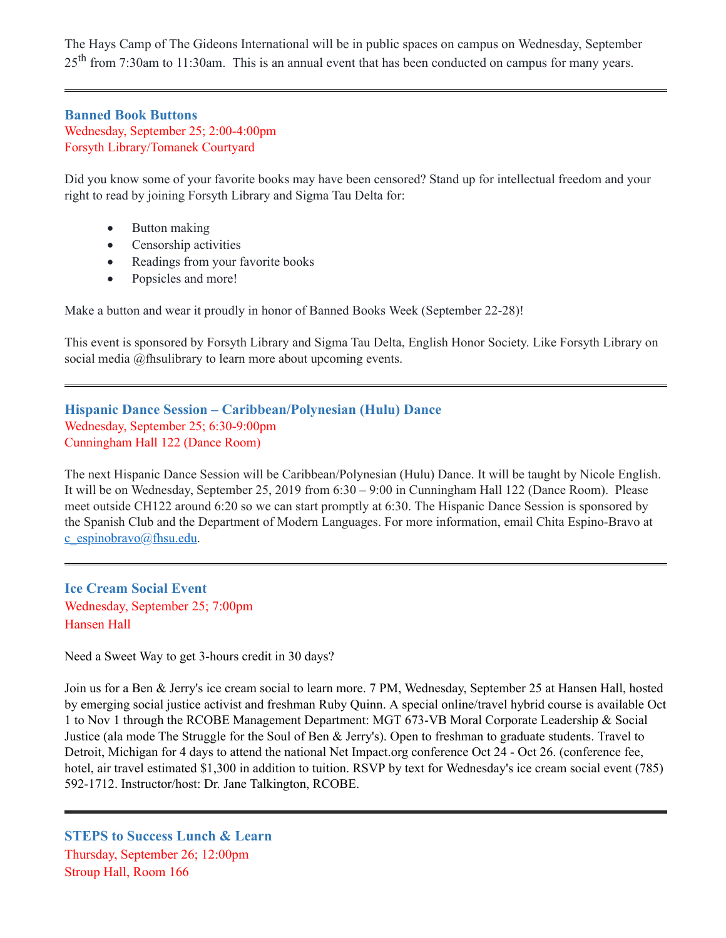The Hays Camp of The Gideons International will be in public spaces on campus on Wednesday, September  $25<sup>th</sup>$  from 7:30am to 11:30am. This is an annual event that has been conducted on campus for many years.

#### <span id="page-5-0"></span>**Banned Book Buttons** Wednesday, September 25; 2:00-4:00pm Forsyth Library/Tomanek Courtyard

Did you know some of your favorite books may have been censored? Stand up for intellectual freedom and your right to read by joining Forsyth Library and Sigma Tau Delta for:

- · Button making
- Censorship activities
- Readings from your favorite books
- <span id="page-5-1"></span>· Popsicles and more!

Make a button and wear it proudly in honor of Banned Books Week (September 22-28)!

This event is sponsored by Forsyth Library and Sigma Tau Delta, English Honor Society. Like Forsyth Library on social media @fhsulibrary to learn more about upcoming events.

## **Hispanic Dance Session – Caribbean/Polynesian (Hulu) Dance** Wednesday, September 25; 6:30-9:00pm Cunningham Hall 122 (Dance Room)

The next Hispanic Dance Session will be Caribbean/Polynesian (Hulu) Dance. It will be taught by Nicole English. It will be on Wednesday, September 25, 2019 from 6:30 – 9:00 in Cunningham Hall 122 (Dance Room). Please meet outside CH122 around 6:20 so we can start promptly at 6:30. The Hispanic Dance Session is sponsored by the Spanish Club and the Department of Modern Languages. For more information, email Chita Espino-Bravo at [c\\_espinobravo@fhsu.edu](mailto:c_espinobravo@fhsu.edu).

<span id="page-5-2"></span>**Ice Cream Social Event** Wednesday, September 25; 7:00pm Hansen Hall

Need a Sweet Way to get 3-hours credit in 30 days?

Join us for a Ben & Jerry's ice cream social to learn more. 7 PM, Wednesday, September 25 at Hansen Hall, hosted by emerging social justice activist and freshman Ruby Quinn. A special online/travel hybrid course is available Oct 1 to Nov 1 through the RCOBE Management Department: MGT 673-VB Moral Corporate Leadership & Social Justice (ala mode The Struggle for the Soul of Ben & Jerry's). Open to freshman to graduate students. Travel to Detroit, Michigan for 4 days to attend the national Net Impact.org conference Oct 24 - Oct 26. (conference fee, hotel, air travel estimated \$1,300 in addition to tuition. RSVP by text for Wednesday's ice cream social event (785) 592-1712. Instructor/host: Dr. Jane Talkington, RCOBE.

<span id="page-5-3"></span>**STEPS to Success Lunch & Learn** Thursday, September 26; 12:00pm Stroup Hall, Room 166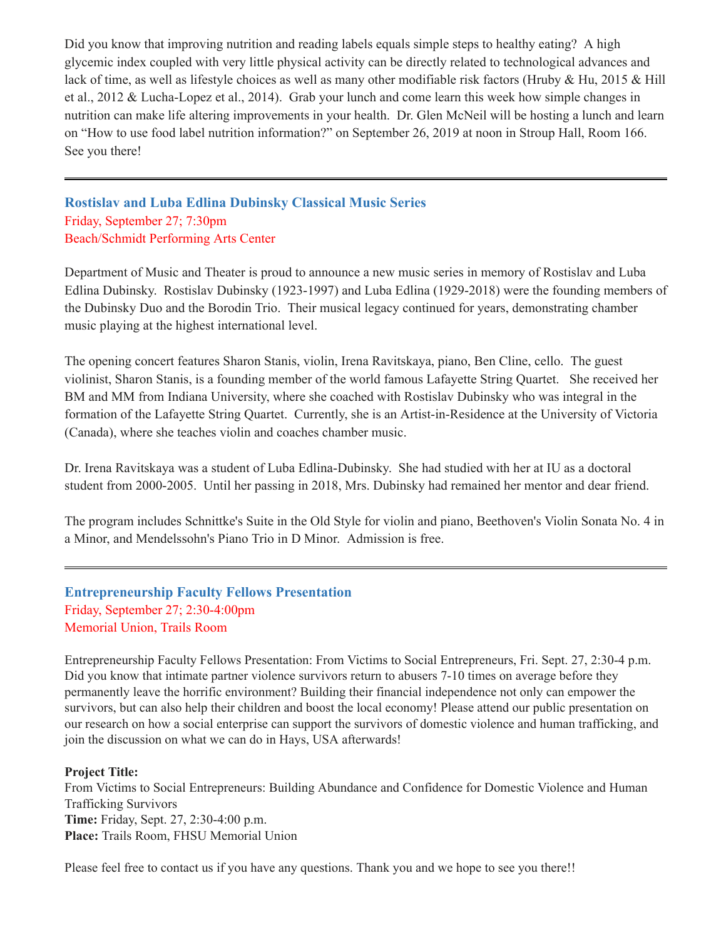Did you know that improving nutrition and reading labels equals simple steps to healthy eating? A high glycemic index coupled with very little physical activity can be directly related to technological advances and lack of time, as well as lifestyle choices as well as many other modifiable risk factors (Hruby & Hu, 2015 & Hill et al., 2012 & Lucha-Lopez et al., 2014). Grab your lunch and come learn this week how simple changes in nutrition can make life altering improvements in your health. Dr. Glen McNeil will be hosting a lunch and learn on "How to use food label nutrition information?" on September 26, 2019 at noon in Stroup Hall, Room 166. See you there!

<span id="page-6-1"></span>**Rostislav and Luba Edlina Dubinsky Classical Music Series** Friday, September 27; 7:30pm Beach/Schmidt Performing Arts Center

Department of Music and Theater is proud to announce a new music series in memory of Rostislav and Luba Edlina Dubinsky. Rostislav Dubinsky (1923-1997) and Luba Edlina (1929-2018) were the founding members of the Dubinsky Duo and the Borodin Trio. Their musical legacy continued for years, demonstrating chamber music playing at the highest international level.

The opening concert features Sharon Stanis, violin, Irena Ravitskaya, piano, Ben Cline, cello. The guest violinist, Sharon Stanis, is a founding member of the world famous Lafayette String Quartet. She received her BM and MM from Indiana University, where she coached with Rostislav Dubinsky who was integral in the formation of the Lafayette String Quartet. Currently, she is an Artist-in-Residence at the University of Victoria (Canada), where she teaches violin and coaches chamber music.

Dr. Irena Ravitskaya was a student of Luba Edlina-Dubinsky. She had studied with her at IU as a doctoral student from 2000-2005. Until her passing in 2018, Mrs. Dubinsky had remained her mentor and dear friend.

The program includes Schnittke's Suite in the Old Style for violin and piano, Beethoven's Violin Sonata No. 4 in a Minor, and Mendelssohn's Piano Trio in D Minor. Admission is free.

<span id="page-6-0"></span>**Entrepreneurship Faculty Fellows Presentation** Friday, September 27; 2:30-4:00pm Memorial Union, Trails Room

Entrepreneurship Faculty Fellows Presentation: From Victims to Social Entrepreneurs, Fri. Sept. 27, 2:30-4 p.m. Did you know that intimate partner violence survivors return to abusers 7-10 times on average before they permanently leave the horrific environment? Building their financial independence not only can empower the survivors, but can also help their children and boost the local economy! Please attend our public presentation on our research on how a social enterprise can support the survivors of domestic violence and human trafficking, and join the discussion on what we can do in Hays, USA afterwards!

#### **Project Title:**

From Victims to Social Entrepreneurs: Building Abundance and Confidence for Domestic Violence and Human Trafficking Survivors **Time:** Friday, Sept. 27, 2:30-4:00 p.m. **Place:** Trails Room, FHSU Memorial Union

Please feel free to contact us if you have any questions. Thank you and we hope to see you there!!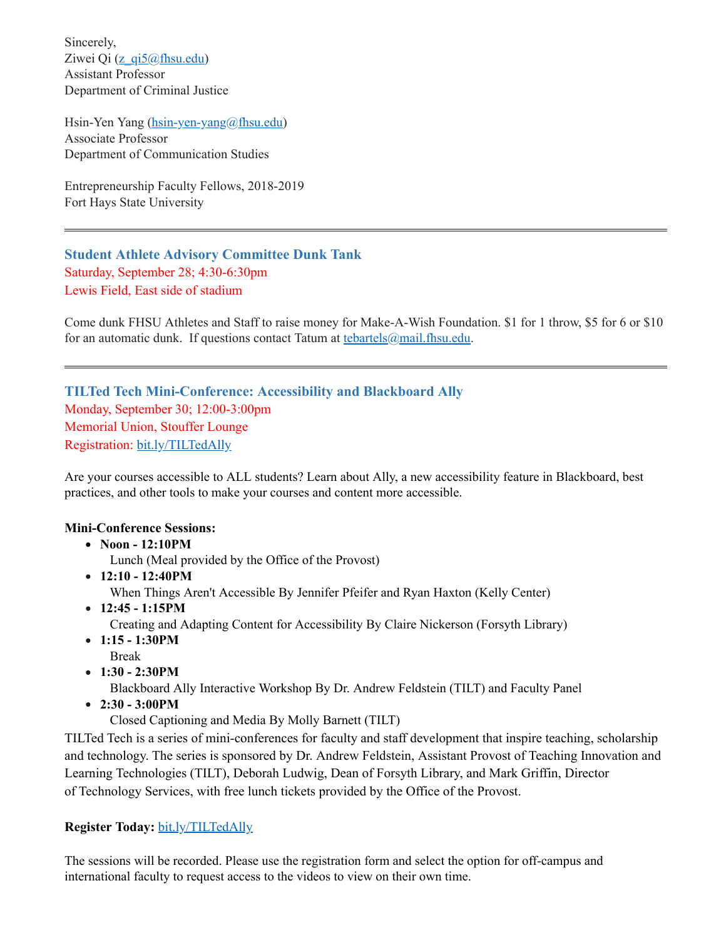Sincerely, Ziwei Qi ( $z$  qi5@fhsu.edu) Assistant Professor Department of Criminal Justice

Hsin-Yen Yang [\(hsin-yen-yang@fhsu.edu](mailto:hsin-yen-yang@fhsu.edu)) Associate Professor Department of Communication Studies

Entrepreneurship Faculty Fellows, 2018-2019 Fort Hays State University

<span id="page-7-0"></span>**Student Athlete Advisory Committee Dunk Tank** Saturday, September 28; 4:30-6:30pm Lewis Field, East side of stadium

Come dunk FHSU Athletes and Staff to raise money for Make-A-Wish Foundation. \$1 for 1 throw, \$5 for 6 or \$10 for an automatic dunk. If questions contact Tatum at [tebartels@mail.fhsu.edu.](mailto:tebartels@mail.fhsu.edu)

<span id="page-7-1"></span>**TILTed Tech Mini-Conference: Accessibility and Blackboard Ally** Monday, September 30; 12:00-3:00pm Memorial Union, Stouffer Lounge Registration: [bit.ly/TILTedAlly](http://bit.ly/TILTedAlly)

Are your courses accessible to ALL students? Learn about Ally, a new accessibility feature in Blackboard, best practices, and other tools to make your courses and content more accessible.

#### **Mini-Conference Sessions:**

- **Noon - 12:10PM**
	- Lunch (Meal provided by the Office of the Provost)
- **12:10 - 12:40PM** When Things Aren't Accessible By Jennifer Pfeifer and Ryan Haxton (Kelly Center)
- **12:45 - 1:15PM** Creating and Adapting Content for Accessibility By Claire Nickerson (Forsyth Library)
- **1:15 - 1:30PM** Break
- **1:30 - 2:30PM**

Blackboard Ally Interactive Workshop By Dr. Andrew Feldstein (TILT) and Faculty Panel

**2:30 - 3:00PM**

Closed Captioning and Media By Molly Barnett (TILT)

TILTed Tech is a series of mini-conferences for faculty and staff development that inspire teaching, scholarship and technology. The series is sponsored by Dr. Andrew Feldstein, Assistant Provost of Teaching Innovation and Learning Technologies (TILT), Deborah Ludwig, Dean of Forsyth Library, and Mark Griffin, Director of Technology Services, with free lunch tickets provided by the Office of the Provost.

#### **Register Today:** [bit.ly/TILTedAlly](http://bit.ly/TILTedAlly)

The sessions will be recorded. Please use the registration form and select the option for off-campus and international faculty to request access to the videos to view on their own time.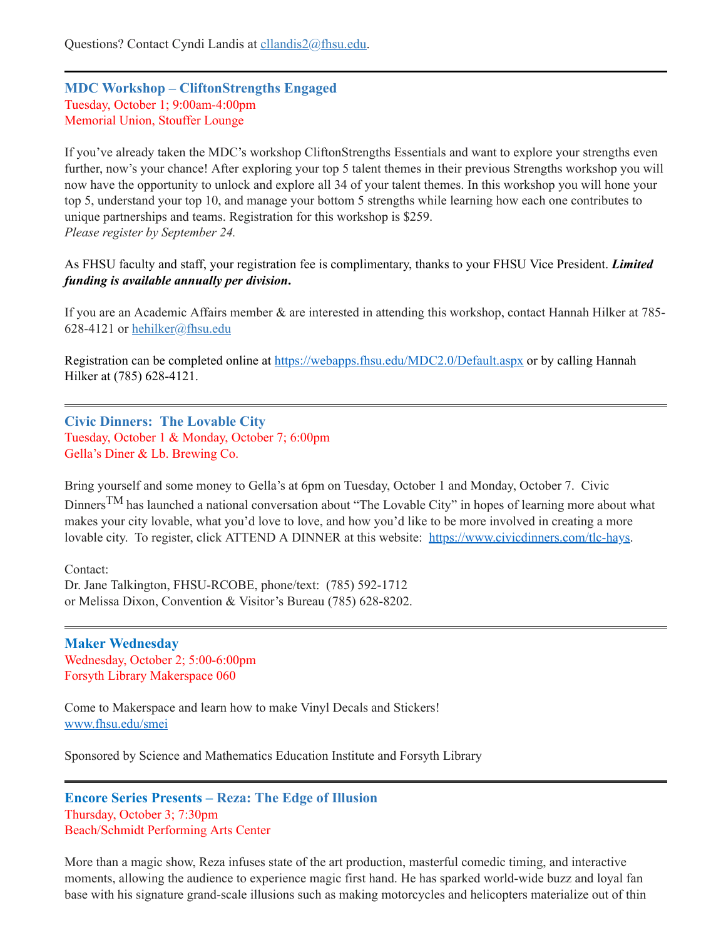## <span id="page-8-0"></span>**MDC Workshop – CliftonStrengths Engaged** Tuesday, October 1; 9:00am-4:00pm Memorial Union, Stouffer Lounge

If you've already taken the MDC's workshop CliftonStrengths Essentials and want to explore your strengths even further, now's your chance! After exploring your top 5 talent themes in their previous Strengths workshop you will now have the opportunity to unlock and explore all 34 of your talent themes. In this workshop you will hone your top 5, understand your top 10, and manage your bottom 5 strengths while learning how each one contributes to unique partnerships and teams. Registration for this workshop is \$259. *Please register by September 24.*

As FHSU faculty and staff, your registration fee is complimentary, thanks to your FHSU Vice President. *Limited funding is available annually per division***.**

If you are an Academic Affairs member & are interested in attending this workshop, contact Hannah Hilker at 785 628-4121 or [hehilker@fhsu.edu](mailto:hehilker@fhsu.edu)

Registration can be completed online at <https://webapps.fhsu.edu/MDC2.0/Default.aspx> or by calling Hannah Hilker at (785) 628-4121.

<span id="page-8-1"></span>**Civic Dinners: The Lovable City** Tuesday, October 1 & Monday, October 7; 6:00pm Gella's Diner & Lb. Brewing Co.

Bring yourself and some money to Gella's at 6pm on Tuesday, October 1 and Monday, October 7. Civic Dinners<sup>TM</sup> has launched a national conversation about "The Lovable City" in hopes of learning more about what makes your city lovable, what you'd love to love, and how you'd like to be more involved in creating a more lovable city. To register, click ATTEND A DINNER at this website: [https://www.civicdinners.com/tlc-hays.](https://www.civicdinners.com/tlc-hays)

Contact: Dr. Jane Talkington, FHSU-RCOBE, phone/text: (785) 592-1712 or Melissa Dixon, Convention & Visitor's Bureau (785) 628-8202.

<span id="page-8-2"></span>**Maker Wednesday** Wednesday, October 2; 5:00-6:00pm Forsyth Library Makerspace 060

Come to Makerspace and learn how to make Vinyl Decals and Stickers! [www.fhsu.edu/smei](http://www.fhsu.edu/smei)

Sponsored by Science and Mathematics Education Institute and Forsyth Library

```
Encore Series Presents – Reza: The Edge of Illusion
Thursday, October 3; 7:30pm
Beach/Schmidt Performing Arts Center
```
More than a magic show, Reza infuses state of the art production, masterful comedic timing, and interactive moments, allowing the audience to experience magic first hand. He has sparked world-wide buzz and loyal fan base with his signature grand-scale illusions such as making motorcycles and helicopters materialize out of thin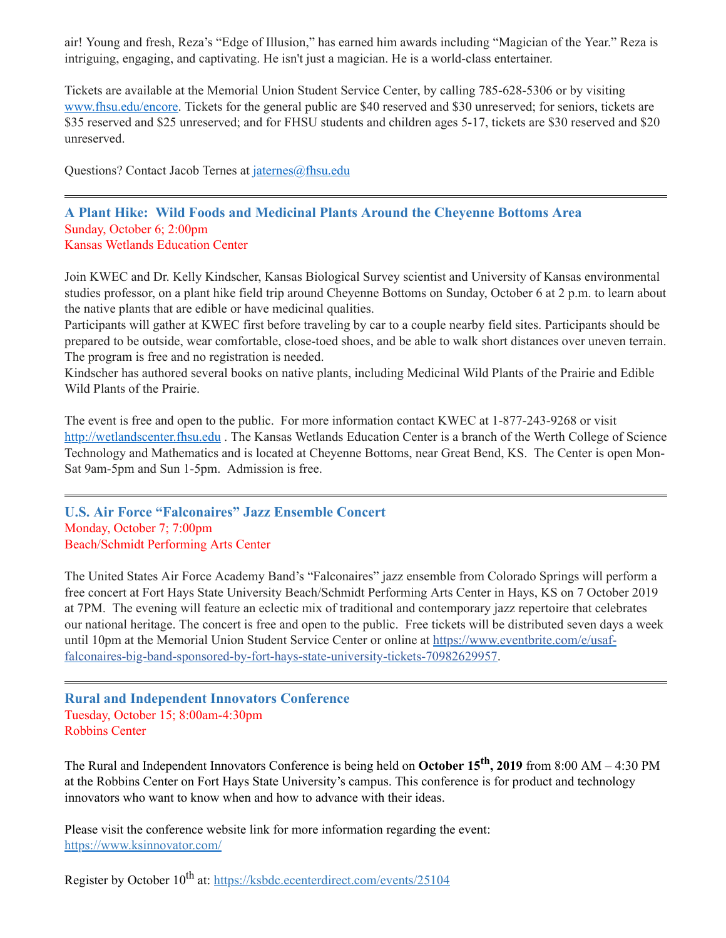air! Young and fresh, Reza's "Edge of Illusion," has earned him awards including "Magician of the Year." Reza is intriguing, engaging, and captivating. He isn't just a magician. He is a world-class entertainer.

Tickets are available at the Memorial Union Student Service Center, by calling 785-628-5306 or by visiting [www.fhsu.edu/encore](http://www.fhsu.edu/encore). Tickets for the general public are \$40 reserved and \$30 unreserved; for seniors, tickets are \$35 reserved and \$25 unreserved; and for FHSU students and children ages 5-17, tickets are \$30 reserved and \$20 unreserved.

Questions? Contact Jacob Ternes at [jaternes@fhsu.edu](mailto:jaternes@fhsu.edu)

#### <span id="page-9-0"></span>**A Plant Hike: Wild Foods and Medicinal Plants Around the Cheyenne Bottoms Area** Sunday, October 6; 2:00pm Kansas Wetlands Education Center

Join KWEC and Dr. Kelly Kindscher, Kansas Biological Survey scientist and University of Kansas environmental studies professor, on a plant hike field trip around Cheyenne Bottoms on Sunday, October 6 at 2 p.m. to learn about the native plants that are edible or have medicinal qualities.

Participants will gather at KWEC first before traveling by car to a couple nearby field sites. Participants should be prepared to be outside, wear comfortable, close-toed shoes, and be able to walk short distances over uneven terrain. The program is free and no registration is needed.

Kindscher has authored several books on native plants, including Medicinal Wild Plants of the Prairie and Edible Wild Plants of the Prairie.

The event is free and open to the public. For more information contact KWEC at 1-877-243-9268 or visit [http://wetlandscenter.fhsu.edu](http://wetlandscenter.fhsu.edu/) . The Kansas Wetlands Education Center is a branch of the Werth College of Science Technology and Mathematics and is located at Cheyenne Bottoms, near Great Bend, KS. The Center is open Mon-Sat 9am-5pm and Sun 1-5pm. Admission is free.

<span id="page-9-1"></span>**U.S. Air Force "Falconaires" Jazz Ensemble Concert** Monday, October 7; 7:00pm Beach/Schmidt Performing Arts Center

The United States Air Force Academy Band's "Falconaires" jazz ensemble from Colorado Springs will perform a free concert at Fort Hays State University Beach/Schmidt Performing Arts Center in Hays, KS on 7 October 2019 at 7PM. The evening will feature an eclectic mix of traditional and contemporary jazz repertoire that celebrates our national heritage. The concert is free and open to the public. Free tickets will be distributed seven days a week until 10pm at the Memorial Union Student Service Center or online at https://www.eventbrite.com/e/usaf[falconaires-big-band-sponsored-by-fort-hays-state-university-tickets-70982629957.](https://www.eventbrite.com/e/usaf-falconaires-big-band-sponsored-by-fort-hays-state-university-tickets-70982629957)

#### <span id="page-9-2"></span>**Rural and Independent Innovators Conference** Tuesday, October 15; 8:00am-4:30pm Robbins Center

The Rural and Independent Innovators Conference is being held on **October 15 th , 2019** from 8:00 AM – 4:30 PM at the Robbins Center on Fort Hays State University's campus. This conference is for product and technology innovators who want to know when and how to advance with their ideas.

Please visit the conference website link for more information regarding the event: [https://www.ksinnovator.com/](https://linkprotect.cudasvc.com/url?a=https%3a%2f%2fwww.ksinnovator.com%2f&c=E,1,VmjRgormpxBBwnH0rotD4QTRl5JXVsVpT5lDsDRIxeQjZM9QtBPyYRn-Nbro7QLgMS3uD1KyfOBYrnVhuDyqC2edXlbzdCu1z5tqRlqNNlA9zc5GTQ,,&typo=1)

Register by October 10<sup>th</sup> at: <https://ksbdc.ecenterdirect.com/events/25104>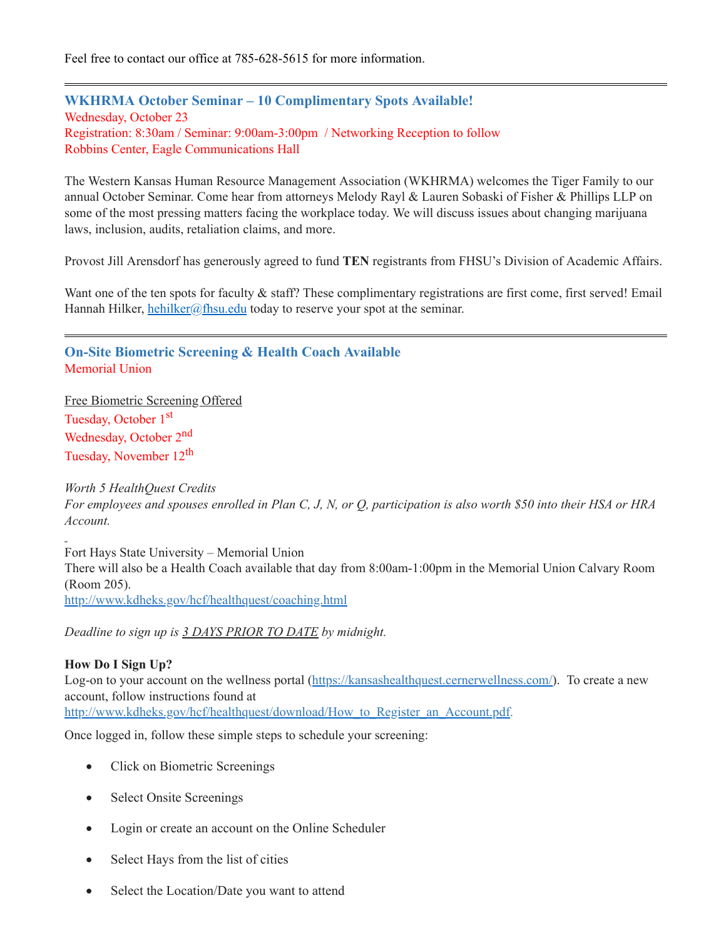Feel free to contact our office at 785-628-5615 for more information.

<span id="page-10-1"></span>**WKHRMA October Seminar – 10 Complimentary Spots Available!** Wednesday, October 23 Registration: 8:30am / Seminar: 9:00am-3:00pm / Networking Reception to follow Robbins Center, Eagle Communications Hall

The Western Kansas Human Resource Management Association (WKHRMA) welcomes the Tiger Family to our annual October Seminar. Come hear from attorneys Melody Rayl & Lauren Sobaski of Fisher & Phillips LLP on some of the most pressing matters facing the workplace today. We will discuss issues about changing marijuana laws, inclusion, audits, retaliation claims, and more.

Provost Jill Arensdorf has generously agreed to fund **TEN** registrants from FHSU's Division of Academic Affairs.

Want one of the ten spots for faculty & staff? These complimentary registrations are first come, first served! Email Hannah Hilker, [hehilker@fhsu.edu](mailto:hehilker@fhsu.edu) today to reserve your spot at the seminar.

<span id="page-10-0"></span>**On-Site Biometric Screening & Health Coach Available** Memorial Union

Free Biometric Screening Offered Tuesday, October 1<sup>st</sup> Wednesday, October 2<sup>nd</sup> Tuesday, November 12<sup>th</sup>

*Worth 5 HealthQuest Credits*

For employees and spouses enrolled in Plan C, J, N, or Q, participation is also worth \$50 into their HSA or HRA *Account.*

Fort Hays State University – Memorial Union There will also be a Health Coach available that day from 8:00am-1:00pm in the Memorial Union Calvary Room (Room 205). <http://www.kdheks.gov/hcf/healthquest/coaching.html>

*Deadline to sign up is 3 DAYS PRIOR TO DATE by midnight.*

#### **How Do I Sign Up?**

Log-on to your account on the wellness portal [\(https://kansashealthquest.cernerwellness.com/](https://kansashealthquest.cernerwellness.com/)). To create a new account, follow instructions found at [http://www.kdheks.gov/hcf/healthquest/download/How\\_to\\_Register\\_an\\_Account.pdf](http://www.kdheks.gov/hcf/healthquest/download/How_to_Register_an_Account.pdf).

Once logged in, follow these simple steps to schedule your screening:

- Click on Biometric Screenings
- Select Onsite Screenings
- Login or create an account on the Online Scheduler
- · Select Hays from the list of cities
- Select the Location/Date you want to attend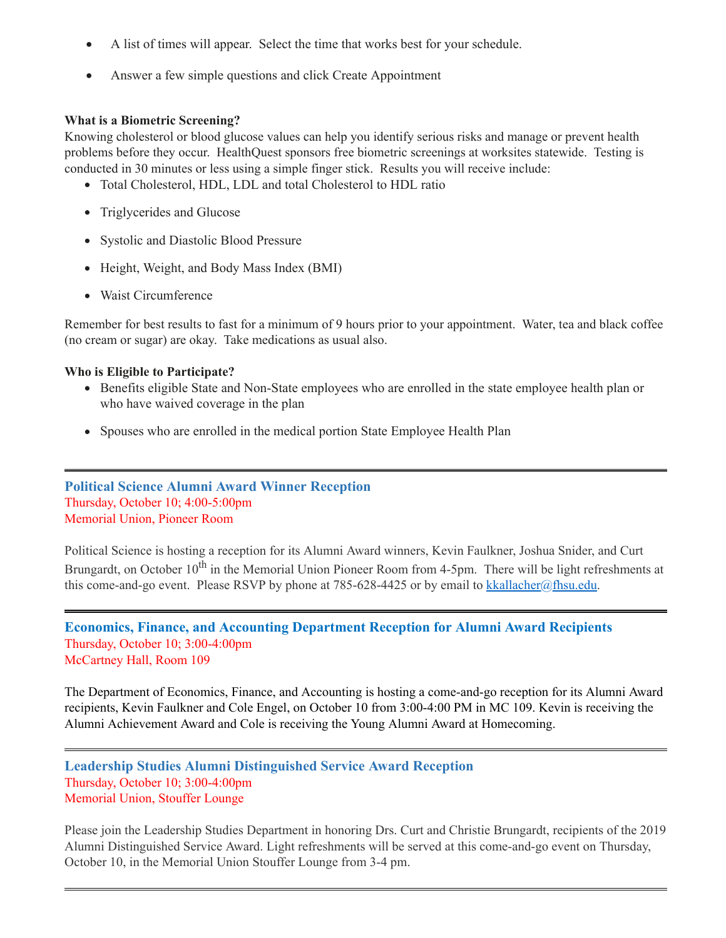- · A list of times will appear. Select the time that works best for your schedule.
- Answer a few simple questions and click Create Appointment

#### **What is a Biometric Screening?**

Knowing cholesterol or blood glucose values can help you identify serious risks and manage or prevent health problems before they occur. HealthQuest sponsors free biometric screenings at worksites statewide. Testing is conducted in 30 minutes or less using a simple finger stick. Results you will receive include:

- Total Cholesterol, HDL, LDL and total Cholesterol to HDL ratio
- Triglycerides and Glucose
- Systolic and Diastolic Blood Pressure
- Height, Weight, and Body Mass Index (BMI)
- Waist Circumference

Remember for best results to fast for a minimum of 9 hours prior to your appointment. Water, tea and black coffee (no cream or sugar) are okay. Take medications as usual also.

#### **Who is Eligible to Participate?**

- Benefits eligible State and Non-State employees who are enrolled in the state employee health plan or who have waived coverage in the plan
- <span id="page-11-0"></span>Spouses who are enrolled in the medical portion State Employee Health Plan

## **Political Science Alumni Award Winner Reception** Thursday, October 10; 4:00-5:00pm Memorial Union, Pioneer Room

Political Science is hosting a reception for its Alumni Award winners, Kevin Faulkner, Joshua Snider, and Curt Brungardt, on October 10<sup>th</sup> in the Memorial Union Pioneer Room from 4-5pm. There will be light refreshments at this come-and-go event. Please RSVP by phone at 785-628-4425 or by email to [kkallacher@fhsu.edu.](mailto:kkallacher@fhsu.edu)

<span id="page-11-2"></span>**Economics, Finance, and Accounting Department Reception for Alumni Award Recipients** Thursday, October 10; 3:00-4:00pm McCartney Hall, Room 109

The Department of Economics, Finance, and Accounting is hosting a come-and-go reception for its Alumni Award recipients, Kevin Faulkner and Cole Engel, on October 10 from 3:00-4:00 PM in MC 109. Kevin is receiving the Alumni Achievement Award and Cole is receiving the Young Alumni Award at Homecoming.

#### <span id="page-11-1"></span>**Leadership Studies Alumni Distinguished Service Award Reception** Thursday, October 10; 3:00-4:00pm Memorial Union, Stouffer Lounge

Please join the Leadership Studies Department in honoring Drs. Curt and Christie Brungardt, recipients of the 2019 Alumni Distinguished Service Award. Light refreshments will be served at this come-and-go event on Thursday, October 10, in the Memorial Union Stouffer Lounge from 3-4 pm.